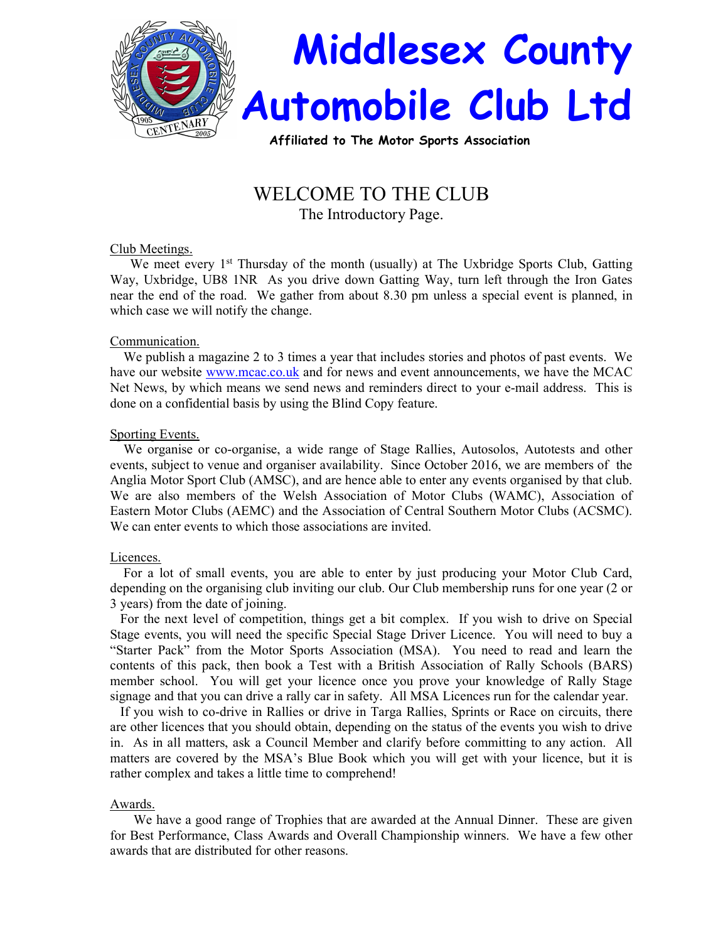

Affiliated to The Motor Sports Association

# WELCOME TO THE CLUB

The Introductory Page.

# Club Meetings.

We meet every 1<sup>st</sup> Thursday of the month (usually) at The Uxbridge Sports Club, Gatting Way, Uxbridge, UB8 1NR As you drive down Gatting Way, turn left through the Iron Gates near the end of the road. We gather from about 8.30 pm unless a special event is planned, in which case we will notify the change.

# Communication.

 We publish a magazine 2 to 3 times a year that includes stories and photos of past events. We have our website www.mcac.co.uk and for news and event announcements, we have the MCAC Net News, by which means we send news and reminders direct to your e-mail address. This is done on a confidential basis by using the Blind Copy feature.

# Sporting Events.

 We organise or co-organise, a wide range of Stage Rallies, Autosolos, Autotests and other events, subject to venue and organiser availability. Since October 2016, we are members of the Anglia Motor Sport Club (AMSC), and are hence able to enter any events organised by that club. We are also members of the Welsh Association of Motor Clubs (WAMC), Association of Eastern Motor Clubs (AEMC) and the Association of Central Southern Motor Clubs (ACSMC). We can enter events to which those associations are invited.

## Licences.

 For a lot of small events, you are able to enter by just producing your Motor Club Card, depending on the organising club inviting our club. Our Club membership runs for one year (2 or 3 years) from the date of joining.

 For the next level of competition, things get a bit complex. If you wish to drive on Special Stage events, you will need the specific Special Stage Driver Licence. You will need to buy a "Starter Pack" from the Motor Sports Association (MSA). You need to read and learn the contents of this pack, then book a Test with a British Association of Rally Schools (BARS) member school. You will get your licence once you prove your knowledge of Rally Stage signage and that you can drive a rally car in safety. All MSA Licences run for the calendar year.

 If you wish to co-drive in Rallies or drive in Targa Rallies, Sprints or Race on circuits, there are other licences that you should obtain, depending on the status of the events you wish to drive in. As in all matters, ask a Council Member and clarify before committing to any action. All matters are covered by the MSA's Blue Book which you will get with your licence, but it is rather complex and takes a little time to comprehend!

# Awards.

 We have a good range of Trophies that are awarded at the Annual Dinner. These are given for Best Performance, Class Awards and Overall Championship winners. We have a few other awards that are distributed for other reasons.